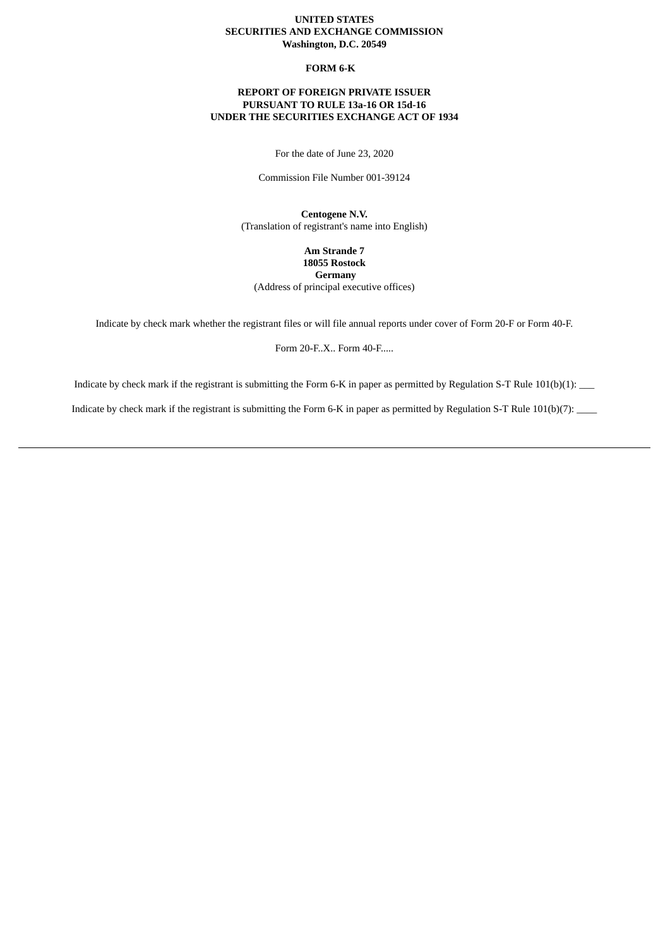## **UNITED STATES SECURITIES AND EXCHANGE COMMISSION Washington, D.C. 20549**

### **FORM 6-K**

## **REPORT OF FOREIGN PRIVATE ISSUER PURSUANT TO RULE 13a-16 OR 15d-16 UNDER THE SECURITIES EXCHANGE ACT OF 1934**

For the date of June 23, 2020

Commission File Number 001-39124

**Centogene N.V.** (Translation of registrant's name into English)

**Am Strande 7 18055 Rostock Germany** (Address of principal executive offices)

Indicate by check mark whether the registrant files or will file annual reports under cover of Form 20-F or Form 40-F.

Form 20-F..X.. Form 40-F.....

Indicate by check mark if the registrant is submitting the Form 6-K in paper as permitted by Regulation S-T Rule 101(b)(1): \_\_\_

Indicate by check mark if the registrant is submitting the Form 6-K in paper as permitted by Regulation S-T Rule 101(b)(7): \_\_\_\_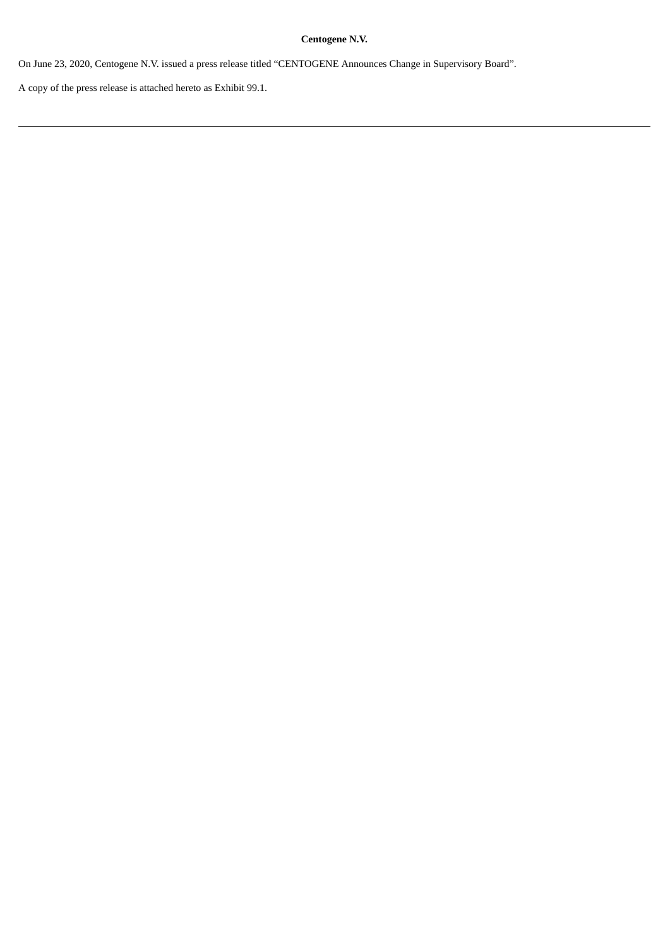# **Centogene N.V.**

On June 23, 2020, Centogene N.V. issued a press release titled "CENTOGENE Announces Change in Supervisory Board".

A copy of the press release is attached hereto as Exhibit 99.1.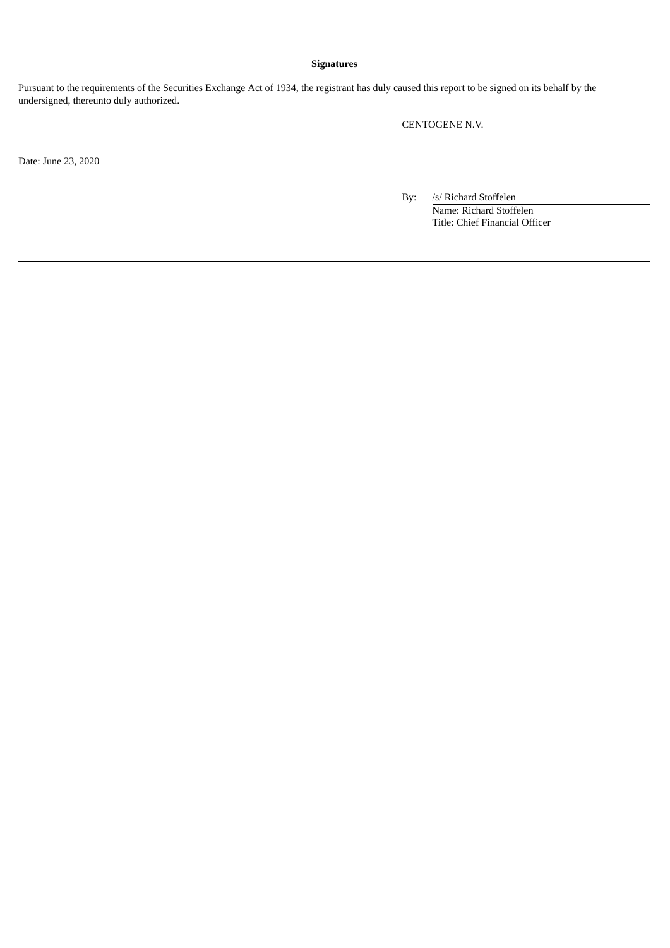## **Signatures**

Pursuant to the requirements of the Securities Exchange Act of 1934, the registrant has duly caused this report to be signed on its behalf by the undersigned, thereunto duly authorized.

CENTOGENE N.V.

Date: June 23, 2020

By: /s/ Richard Stoffelen Name: Richard Stoffelen Title: Chief Financial Officer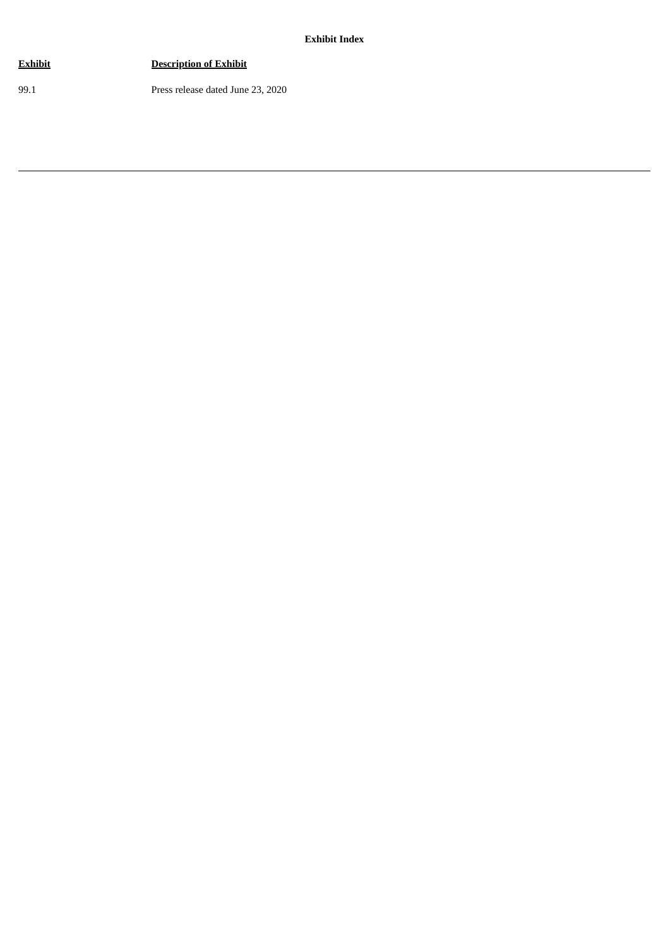**Exhibit Index**

| Exhibit | <b>Description of Exhibit</b>     |
|---------|-----------------------------------|
| 99.1    | Press release dated June 23, 2020 |